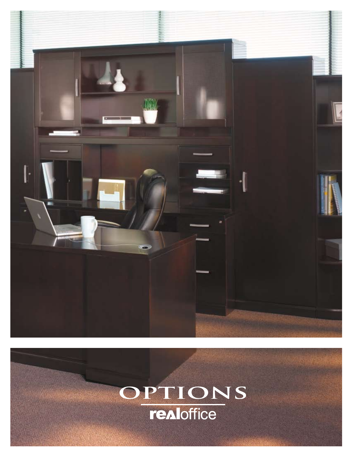

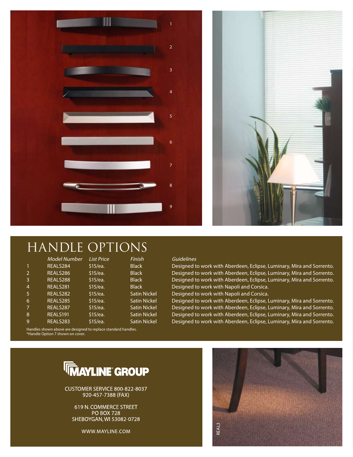



#### HANDLE OPTIONS

|   | Model Number                                                  | <b>List Price</b> | Finish              | Gu |
|---|---------------------------------------------------------------|-------------------|---------------------|----|
|   | REALS284                                                      | \$15/ea.          | <b>Black</b>        | De |
| 2 | REALS286                                                      | \$15/ea.          | <b>Black</b>        | De |
| 3 | REALS288                                                      | \$15/ea.          | <b>Black</b>        | De |
| 4 | REALS281                                                      | \$15/ea.          | <b>Black</b>        | De |
| 5 | REALS282                                                      | \$15/ea.          | <b>Satin Nickel</b> | De |
| 6 | REALS285                                                      | \$15/ea.          | <b>Satin Nickel</b> | De |
| 7 | REALS287                                                      | \$15/ea.          | <b>Satin Nickel</b> | De |
| 8 | REALS191                                                      | \$15/ea.          | <b>Satin Nickel</b> | De |
| 9 | REALS283                                                      | \$15/ea.          | Satin Nickel        | De |
|   | Handles shown above are designed to replace standard bandles. |                   |                     |    |

#### Guidelines

Designed to work with Aberdeen, Eclipse, Luminary, Mira and Sorrento. Designed to work with Aberdeen, Eclipse, Luminary, Mira and Sorrento. Designed to work with Aberdeen, Eclipse, Luminary, Mira and Sorrento. Designed to work with Napoli and Corsica.

Designed to work with Napoli and Corsica.

8 REALS191 \$15/ea. Satin Nickel Designed to work with Aberdeen, Eclipse, Luminary, Mira and Sorrento.<br>8 REALS282 SAE/22 Satin Nickel Resigned to wark with Aberdeen, Eclipse, Luminary, Mira and Sorrento. Designed to work with Aberdeen, Eclipse, Luminary, Mira and Sorrento. Designed to work with Aberdeen, Eclipse, Luminary, Mira and Sorrento. Designed to work with Aberdeen, Eclipse, Luminary, Mira and Sorrento.

Handles shown above are designed to replace standard handles. \*Handle Option 7 shown on cover.

### **WAYLINE GROUP**

CUSTOMER SERVICE 800-822-8037 920-457-7388 (FAX)

619 N. COMMERCE STREET **PO BOX 728** SHEBOYGAN, WI 53082-0728

WWW.MAYLINE.COM

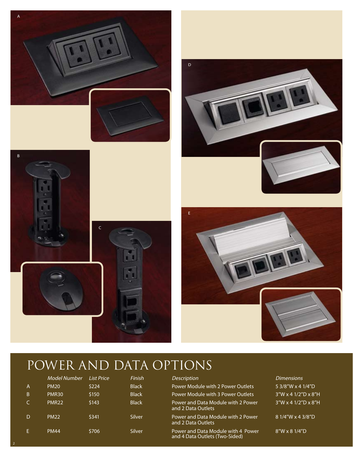



2







### POWER AND DATA OPTIONS

|                | <b>Model Number</b> | <b>List Price</b> | Finish       | <b>Description</b>                                                   | <b>Dimensions</b>              |
|----------------|---------------------|-------------------|--------------|----------------------------------------------------------------------|--------------------------------|
| $\overline{A}$ | <b>PM20</b>         | \$224             | <b>Black</b> | Power Module with 2 Power Outlets                                    | 5 3/8"W x 4 1/4"D              |
| B.             | <b>PMR30</b>        | \$150             | <b>Black</b> | Power Module with 3 Power Outlets                                    | $3''W \times 41/2''D \times 8$ |
| C.             | PMR <sub>22</sub>   | \$143             | <b>Black</b> | Power and Data Module with 2 Power<br>and 2 Data Outlets             | $3''W \times 41/2''D \times 8$ |
| D              | <b>PM22</b>         | \$341             | Silver       | Power and Data Module with 2 Power<br>and 2 Data Outlets             | 81/4"W x 43/8"D                |
| E.             | <b>PM44</b>         | \$706             | Silver       | Power and Data Module with 4 Power<br>and 4 Data Outlets (Two-Sided) | $8''W \times 81/4"D$           |

 $41/2"D \times 8"H$  $41/2"D \times 8"H$